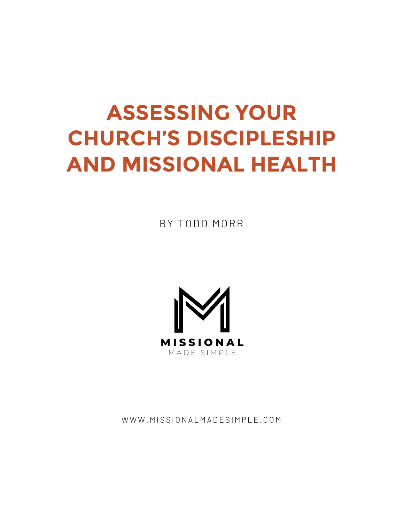# **ASSESSING YOUR CHURCH'S DISCIPLESHIP AND MISSIONAL HEALTH**

BY TODD MORR



WWW.MISSIONALMADESIMPLE.COM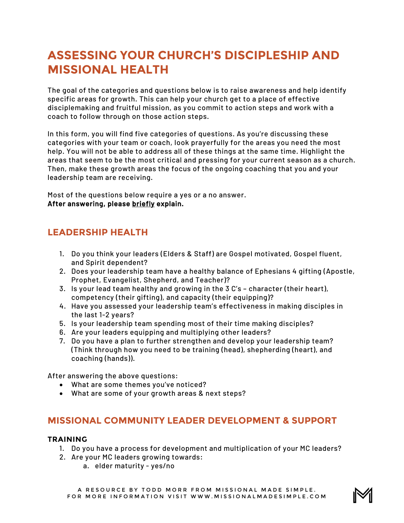## **ASSESSING YOUR CHURCH'S DISCIPLESHIP AND MISSIONAL HEALTH**

The goal of the categories and questions below is to raise awareness and help identify specific areas for growth. This can help your church get to a place of effective disciplemaking and fruitful mission, as you commit to action steps and work with a coach to follow through on those action steps.

In this form, you will find five categories of questions. As you're discussing these categories with your team or coach, look prayerfully for the areas you need the most help. You will not be able to address all of these things at the same time. Highlight the areas that seem to be the most critical and pressing for your current season as a church. Then, make these growth areas the focus of the ongoing coaching that you and your leadership team are receiving.

Most of the questions below require a yes or a no answer. After answering, please briefly explain.

## **LEADERSHIP HEALTH**

- 1. Do you think your leaders (Elders & Staff) are Gospel motivated, Gospel fluent, and Spirit dependent?
- 2. Does your leadership team have a healthy balance of Ephesians 4 gifting (Apostle, Prophet, Evangelist, Shepherd, and Teacher)?
- 3. Is your lead team healthy and growing in the 3 C's character (their heart), competency (their gifting), and capacity (their equipping)?
- 4. Have you assessed your leadership team's effectiveness in making disciples in the last 1-2 years?
- 5. Is your leadership team spending most of their time making disciples?
- 6. Are your leaders equipping and multiplying other leaders?
- 7. Do you have a plan to further strengthen and develop your leadership team? (Think through how you need to be training (head), shepherding (heart), and coaching (hands)).

After answering the above questions:

- What are some themes you've noticed?
- What are some of your growth areas & next steps?

## **MISSIONAL COMMUNITY LEADER DEVELOPMENT & SUPPORT**

#### **TRAINING**

- 1. Do you have a process for development and multiplication of your MC leaders?
- 2. Are your MC leaders growing towards:
	- a. elder maturity yes/no

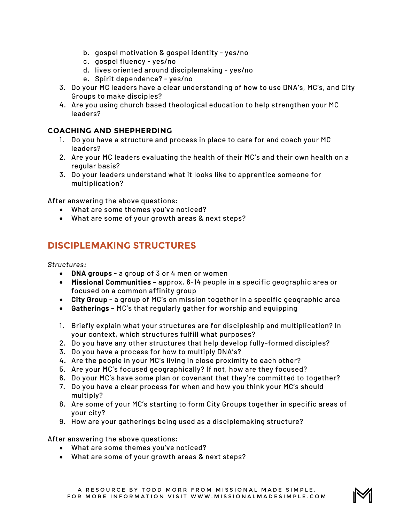- b. gospel motivation & gospel identity yes/no
- c. gospel fluency yes/no
- d. lives oriented around disciplemaking yes/no
- e. Spirit dependence? yes/no
- 3. Do your MC leaders have a clear understanding of how to use DNA's, MC's, and City Groups to make disciples?
- 4. Are you using church based theological education to help strengthen your MC leaders?

#### **COACHING AND SHEPHERDING**

- 1. Do you have a structure and process in place to care for and coach your MC leaders?
- 2. Are your MC leaders evaluating the health of their MC's and their own health on a regular basis?
- 3. Do your leaders understand what it looks like to apprentice someone for multiplication?

After answering the above questions:

- What are some themes you've noticed?
- What are some of your growth areas & next steps?

## **DISCIPLEMAKING STRUCTURES**

*Structures:*

- DNA groups a group of 3 or 4 men or women
- Missional Communities approx. 6-14 people in a specific geographic area or focused on a common affinity group
- City Group a group of MC's on mission together in a specific geographic area
- Gatherings MC's that regularly gather for worship and equipping
- 1. Briefly explain what your structures are for discipleship and multiplication? In your context, which structures fulfill what purposes?
- 2. Do you have any other structures that help develop fully-formed disciples?
- 3. Do you have a process for how to multiply DNA's?
- 4. Are the people in your MC's living in close proximity to each other?
- 5. Are your MC's focused geographically? If not, how are they focused?
- 6. Do your MC's have some plan or covenant that they're committed to together?
- 7. Do you have a clear process for when and how you think your MC's should multiply?
- 8. Are some of your MC's starting to form City Groups together in specific areas of your city?
- 9. How are your gatherings being used as a disciplemaking structure?

After answering the above questions:

- What are some themes you've noticed?
- What are some of your growth areas & next steps?

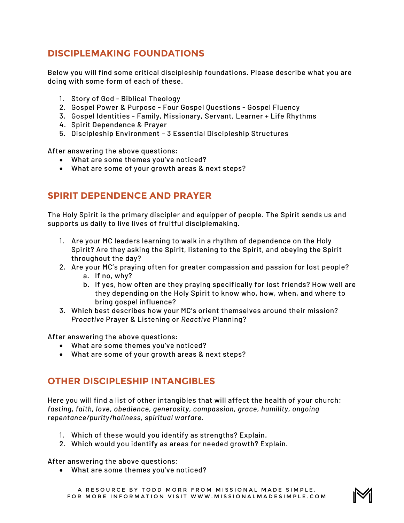## **DISCIPLEMAKING FOUNDATIONS**

Below you will find some critical discipleship foundations. Please describe what you are doing with some form of each of these.

- 1. Story of God Biblical Theology
- 2. Gospel Power & Purpose Four Gospel Questions Gospel Fluency
- 3. Gospel Identities Family, Missionary, Servant, Learner + Life Rhythms
- 4. Spirit Dependence & Prayer
- 5. Discipleship Environment 3 Essential Discipleship Structures

After answering the above questions:

- What are some themes you've noticed?
- What are some of your growth areas & next steps?

## **SPIRIT DEPENDENCE AND PRAYER**

The Holy Spirit is the primary discipler and equipper of people. The Spirit sends us and supports us daily to live lives of fruitful disciplemaking.

- 1. Are your MC leaders learning to walk in a rhythm of dependence on the Holy Spirit? Are they asking the Spirit, listening to the Spirit, and obeying the Spirit throughout the day?
- 2. Are your MC's praying often for greater compassion and passion for lost people?
	- a. If no, why?
	- b. If yes, how often are they praying specifically for lost friends? How well are they depending on the Holy Spirit to know who, how, when, and where to bring gospel influence?
- 3. Which best describes how your MC's orient themselves around their mission? *Proactive* Prayer & Listening or *Reactive* Planning?

After answering the above questions:

- What are some themes you've noticed?
- What are some of your growth areas & next steps?

## **OTHER DISCIPLESHIP INTANGIBLES**

Here you will find a list of other intangibles that will affect the health of your church: *fasting, faith, love, obedience, generosity, compassion, grace, humility, ongoing repentance/purity/holiness, spiritual warfare.*

- 1. Which of these would you identify as strengths? Explain.
- 2. Which would you identify as areas for needed growth? Explain.

After answering the above questions:

• What are some themes you've noticed?